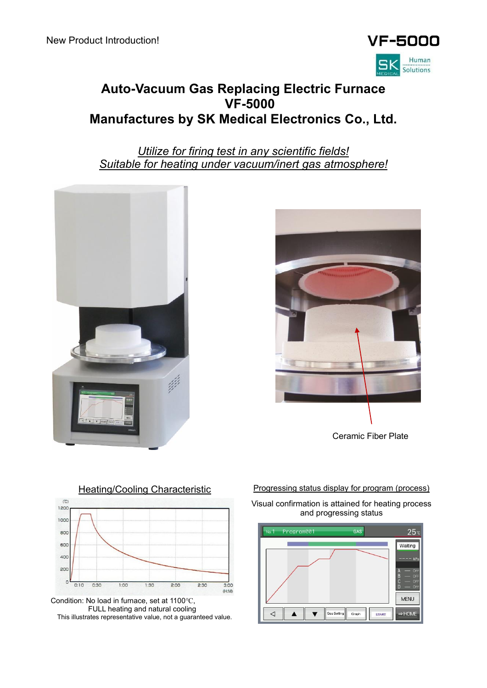

# **Auto-Vacuum Gas Replacing Electric Furnace VF-5000 Manufactures by SK Medical Electronics Co., Ltd.**

*Utilize for firing test in any scientific fields! Suitable for heating under vacuum/inert gas atmosphere!*







Condition: No load in furnace, set at 1100℃, FULL heating and natural cooling This illustrates representative value, not a guaranteed value.

Visual confirmation is attained for heating process and progressing status

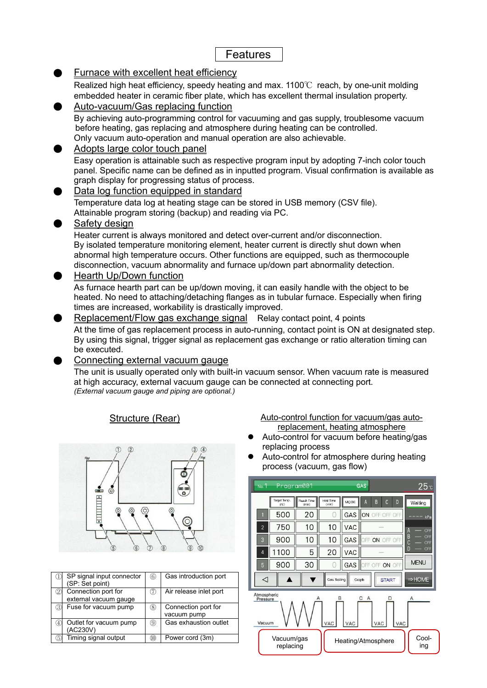# Features

# Furnace with excellent heat efficiency

Realized high heat efficiency, speedy heating and max. 1100 $\degree$ C reach, by one-unit molding embedded heater in ceramic fiber plate, which has excellent thermal insulation property.

### Auto-vacuum/Gas replacing function By achieving auto-programming control for vacuuming and gas supply, troublesome vacuum before heating, gas replacing and atmosphere during heating can be controlled. Only vacuum auto-operation and manual operation are also achievable.

#### Adopts large color touch panel Easy operation is attainable such as respective program input by adopting 7-inch color touch panel. Specific name can be defined as in inputted program. Visual confirmation is available as

graph display for progressing status of process. Data log function equipped in standard

Temperature data log at heating stage can be stored in USB memory (CSV file). Attainable program storing (backup) and reading via PC.

#### Safety design

Heater current is always monitored and detect over-current and/or disconnection. By isolated temperature monitoring element, heater current is directly shut down when abnormal high temperature occurs. Other functions are equipped, such as thermocouple disconnection, vacuum abnormality and furnace up/down part abnormality detection.

### **Hearth Up/Down function**

As furnace hearth part can be up/down moving, it can easily handle with the object to be heated. No need to attaching/detaching flanges as in tubular furnace. Especially when firing times are increased, workability is drastically improved.

Replacement/Flow gas exchange signal Relay contact point, 4 points At the time of gas replacement process in auto-running, contact point is ON at designated step. By using this signal, trigger signal as replacement gas exchange or ratio alteration timing can be executed.

### Connecting external vacuum gauge

The unit is usually operated only with built-in vacuum sensor. When vacuum rate is measured at high accuracy, external vacuum gauge can be connected at connecting port. *(External vacuum gauge and piping are optional.)*



|   | SP signal input connector | $^{\circ}$ | Gas introduction port  |
|---|---------------------------|------------|------------------------|
|   | (SP: Set point)           |            |                        |
|   | Connection port for       | (7)        | Air release inlet port |
|   | external vacuum gauge     |            |                        |
| З | Fuse for vacuum pump      | 3)         | Connection port for    |
|   |                           |            | vacuum pump            |
|   | Outlet for vacuum pump    | 9)         | Gas exhaustion outlet  |
|   | (AC230V)                  |            |                        |
| 5 | Timing signal output      | (10)       | Power cord (3m)        |

#### Structure (Rear) Matto-control function for vacuum/gas autoreplacement, heating atmosphere

- ⚫ Auto-control for vacuum before heating/gas replacing process
- ⚫ Auto-control for atmosphere during heating process (vacuum, gas flow)